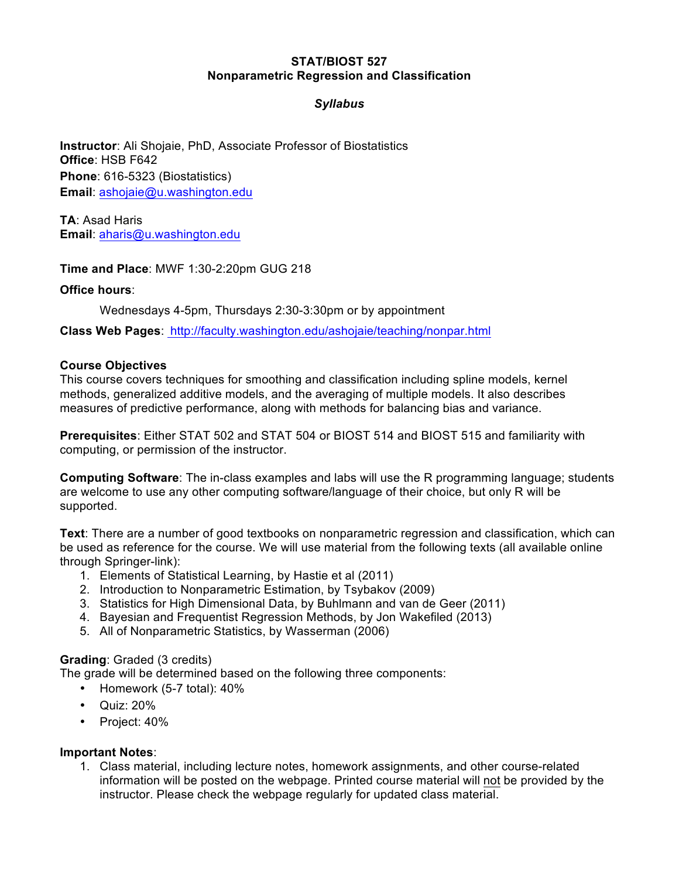### **STAT/BIOST 527 Nonparametric Regression and Classification**

# *Syllabus*

**Instructor**: Ali Shojaie, PhD, Associate Professor of Biostatistics **Office**: HSB F642 **Phone**: 616-5323 (Biostatistics) **Email**: ashojaie@u.washington.edu

**TA**: Asad Haris **Email**: aharis@u.washington.edu

**Time and Place**: MWF 1:30-2:20pm GUG 218

### **Office hours**:

Wednesdays 4-5pm, Thursdays 2:30-3:30pm or by appointment

**Class Web Pages**: http://faculty.washington.edu/ashojaie/teaching/nonpar.html

#### **Course Objectives**

This course covers techniques for smoothing and classification including spline models, kernel methods, generalized additive models, and the averaging of multiple models. It also describes measures of predictive performance, along with methods for balancing bias and variance.

**Prerequisites**: Either STAT 502 and STAT 504 or BIOST 514 and BIOST 515 and familiarity with computing, or permission of the instructor.

**Computing Software**: The in-class examples and labs will use the R programming language; students are welcome to use any other computing software/language of their choice, but only R will be supported.

**Text**: There are a number of good textbooks on nonparametric regression and classification, which can be used as reference for the course. We will use material from the following texts (all available online through Springer-link):

- 1. Elements of Statistical Learning, by Hastie et al (2011)
- 2. Introduction to Nonparametric Estimation, by Tsybakov (2009)
- 3. Statistics for High Dimensional Data, by Buhlmann and van de Geer (2011)
- 4. Bayesian and Frequentist Regression Methods, by Jon Wakefiled (2013)
- 5. All of Nonparametric Statistics, by Wasserman (2006)

### **Grading**: Graded (3 credits)

The grade will be determined based on the following three components:

- Homework (5-7 total): 40%
- Quiz: 20%
- Project: 40%

#### **Important Notes**:

1. Class material, including lecture notes, homework assignments, and other course-related information will be posted on the webpage. Printed course material will not be provided by the instructor. Please check the webpage regularly for updated class material.